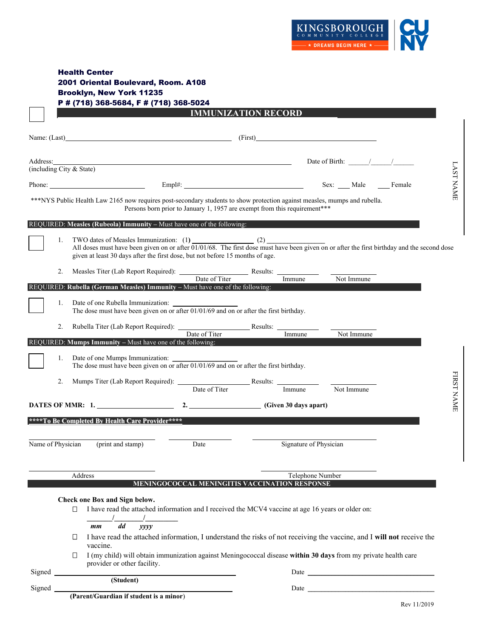

| <b>Health Center</b>                   |  |
|----------------------------------------|--|
| 2001 Oriental Boulevard, Room. A108    |  |
| Brooklyn, New York 11235               |  |
| P # (718) 368-5684, F # (718) 368-5024 |  |
| <b>IMMUNIZATION RECORD</b>             |  |

 $\Gamma$ ┑

| Name: (Last)_              |    | <u> 1980 - Johann Barn, mars ann an t-Amhain Aonaich an t-Aonaich an t-Aonaich ann an t-Aonaich ann an t-Aonaich</u>                                                                                                                                                      |                                                                           |          |                        |                                     |            |             |                  |
|----------------------------|----|---------------------------------------------------------------------------------------------------------------------------------------------------------------------------------------------------------------------------------------------------------------------------|---------------------------------------------------------------------------|----------|------------------------|-------------------------------------|------------|-------------|------------------|
| (including City $&$ State) |    |                                                                                                                                                                                                                                                                           |                                                                           |          |                        | Date of Birth: $\frac{1}{\sqrt{2}}$ |            |             |                  |
|                            |    |                                                                                                                                                                                                                                                                           |                                                                           |          |                        |                                     |            |             | <b>LAST NAME</b> |
|                            |    | Phone:                                                                                                                                                                                                                                                                    |                                                                           |          |                        | Sex: ___ Male                       |            | Female      |                  |
|                            |    | ***NYS Public Health Law 2165 now requires post-secondary students to show protection against measles, mumps and rubella.                                                                                                                                                 | Persons born prior to January 1, 1957 are exempt from this requirement*** |          |                        |                                     |            |             |                  |
|                            |    | REQUIRED: Measles (Rubeola) Immunity - Must have one of the following:                                                                                                                                                                                                    |                                                                           |          |                        |                                     |            |             |                  |
|                            | 1. | TWO dates of Measles Immunization: (1)<br>All doses must have been given on or after $01/01/68$ . The first dose must have been given on or after the first birthday and the second dose<br>given at least 30 days after the first dose, but not before 15 months of age. |                                                                           |          |                        |                                     |            |             |                  |
|                            | 2. |                                                                                                                                                                                                                                                                           |                                                                           |          |                        |                                     |            |             |                  |
|                            |    | REQUIRED: Rubella (German Measles) Immunity - Must have one of the following:                                                                                                                                                                                             | Date of Titer                                                             |          | Immune                 |                                     | Not Immune |             |                  |
|                            | 1. | Date of one Rubella Immunization:<br>The dose must have been given on or after $\overline{01/01/69}$ and on or after the first birthday.                                                                                                                                  |                                                                           |          |                        |                                     |            |             |                  |
|                            | 2. |                                                                                                                                                                                                                                                                           |                                                                           |          |                        |                                     |            |             |                  |
|                            |    | REQUIRED: Mumps Immunity - Must have one of the following:                                                                                                                                                                                                                | Date of Titer                                                             |          | Immune                 |                                     | Not Immune |             |                  |
|                            | 1. | Date of one Mumps Immunization:<br>The dose must have been given on or after $01/01/69$ and on or after the first birthday.                                                                                                                                               |                                                                           |          |                        |                                     |            |             |                  |
|                            | 2. |                                                                                                                                                                                                                                                                           |                                                                           | Results: |                        |                                     |            |             | FIRST NAME       |
|                            |    |                                                                                                                                                                                                                                                                           | Date of Titer                                                             |          | Immune                 | Not Immune                          |            |             |                  |
|                            |    | DATES OF MMR: 1.                                                                                                                                                                                                                                                          | $2.$ (Given 30 days apart)                                                |          |                        |                                     |            |             |                  |
|                            |    | ****To Be Completed By Health Care Provider****                                                                                                                                                                                                                           |                                                                           |          |                        |                                     |            |             |                  |
| Name of Physician          |    | (print and stamp)                                                                                                                                                                                                                                                         | Date                                                                      |          | Signature of Physician |                                     |            |             |                  |
|                            |    |                                                                                                                                                                                                                                                                           |                                                                           |          |                        |                                     |            |             |                  |
|                            |    | Address                                                                                                                                                                                                                                                                   |                                                                           |          | Telephone Number       |                                     |            |             |                  |
|                            |    |                                                                                                                                                                                                                                                                           | MENINGOCOCCAL MENINGITIS VACCINATION RESPONSE                             |          |                        |                                     |            |             |                  |
|                            |    | Check one Box and Sign below.                                                                                                                                                                                                                                             |                                                                           |          |                        |                                     |            |             |                  |
|                            |    | I have read the attached information and I received the MCV4 vaccine at age 16 years or older on:<br>□<br>$\prime$                                                                                                                                                        |                                                                           |          |                        |                                     |            |             |                  |
|                            |    | dd<br>yyyy<br>mm<br>I have read the attached information, I understand the risks of not receiving the vaccine, and I will not receive the<br>$\Box$<br>vaccine.                                                                                                           |                                                                           |          |                        |                                     |            |             |                  |
|                            |    | I (my child) will obtain immunization against Meningococcal disease within 30 days from my private health care<br>□<br>provider or other facility.                                                                                                                        |                                                                           |          |                        |                                     |            |             |                  |
| Signed                     |    | (Student)                                                                                                                                                                                                                                                                 |                                                                           |          |                        |                                     |            |             |                  |
| Signed                     |    |                                                                                                                                                                                                                                                                           |                                                                           |          |                        |                                     |            |             |                  |
|                            |    | (Parent/Guardian if student is a minor)                                                                                                                                                                                                                                   |                                                                           |          |                        |                                     |            | Rev 11/2019 |                  |